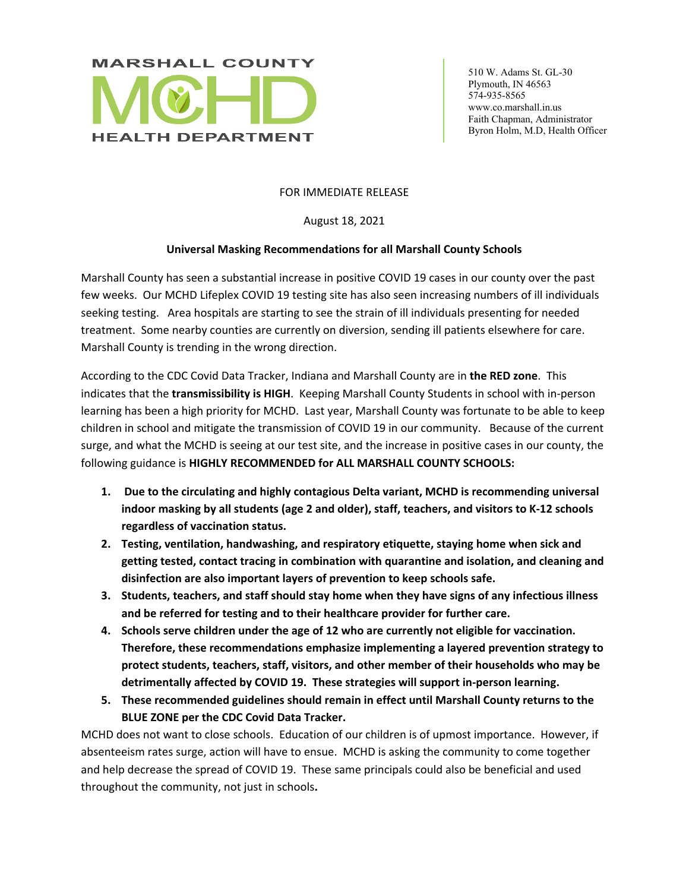

 510 W. Adams St. GL-30 Plymouth, IN 46563 574-935-8565 www.co.marshall.in.us Faith Chapman, Administrator Byron Holm, M.D, Health Officer

## FOR IMMEDIATE RELEASE

August 18, 2021

## **Universal Masking Recommendations for all Marshall County Schools**

Marshall County has seen a substantial increase in positive COVID 19 cases in our county over the past few weeks. Our MCHD Lifeplex COVID 19 testing site has also seen increasing numbers of ill individuals seeking testing. Area hospitals are starting to see the strain of ill individuals presenting for needed treatment. Some nearby counties are currently on diversion, sending ill patients elsewhere for care. Marshall County is trending in the wrong direction.

According to the CDC Covid Data Tracker, Indiana and Marshall County are in **the RED zone**. This indicates that the **transmissibility is HIGH**. Keeping Marshall County Students in school with in-person learning has been a high priority for MCHD. Last year, Marshall County was fortunate to be able to keep children in school and mitigate the transmission of COVID 19 in our community. Because of the current surge, and what the MCHD is seeing at our test site, and the increase in positive cases in our county, the following guidance is **HIGHLY RECOMMENDED for ALL MARSHALL COUNTY SCHOOLS:**

- **1. Due to the circulating and highly contagious Delta variant, MCHD is recommending universal indoor masking by all students (age 2 and older), staff, teachers, and visitors to K-12 schools regardless of vaccination status.**
- **2. Testing, ventilation, handwashing, and respiratory etiquette, staying home when sick and getting tested, contact tracing in combination with quarantine and isolation, and cleaning and disinfection are also important layers of prevention to keep schools safe.**
- **3. Students, teachers, and staff should stay home when they have signs of any infectious illness and be referred for testing and to their healthcare provider for further care.**
- **4. Schools serve children under the age of 12 who are currently not eligible for vaccination. Therefore, these recommendations emphasize implementing a layered prevention strategy to protect students, teachers, staff, visitors, and other member of their households who may be detrimentally affected by COVID 19. These strategies will support in-person learning.**
- **5. These recommended guidelines should remain in effect until Marshall County returns to the BLUE ZONE per the CDC Covid Data Tracker.**

MCHD does not want to close schools. Education of our children is of upmost importance. However, if absenteeism rates surge, action will have to ensue. MCHD is asking the community to come together and help decrease the spread of COVID 19. These same principals could also be beneficial and used throughout the community, not just in schools**.**